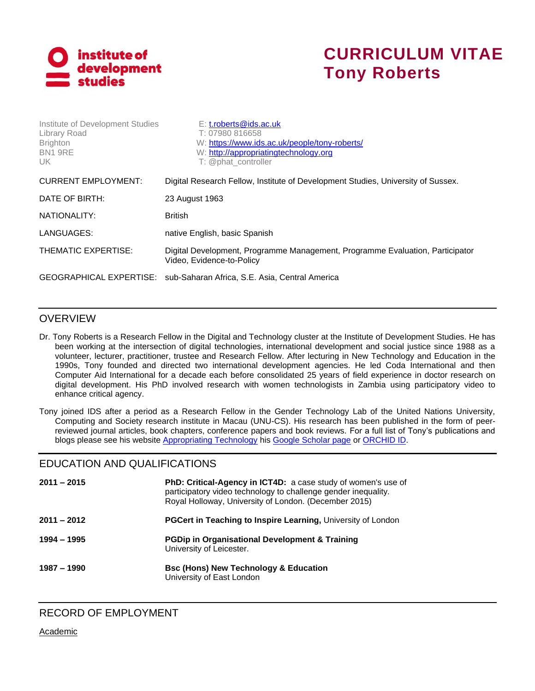

# **CURRICULUM VITAE Tony Roberts**

| Institute of Development Studies<br>Library Road<br><b>Brighton</b><br>BN1 9RE<br>UK. | $E: t.$ roberts@ids.ac.uk<br>T: 07980 816658<br>W: https://www.ids.ac.uk/people/tony-roberts/<br>W: http://appropriatingtechnology.org<br>T: @phat controller |  |
|---------------------------------------------------------------------------------------|---------------------------------------------------------------------------------------------------------------------------------------------------------------|--|
| <b>CURRENT EMPLOYMENT:</b>                                                            | Digital Research Fellow, Institute of Development Studies, University of Sussex.                                                                              |  |
| DATE OF BIRTH:                                                                        | 23 August 1963                                                                                                                                                |  |
| NATIONALITY:                                                                          | <b>British</b>                                                                                                                                                |  |
| LANGUAGES:                                                                            | native English, basic Spanish                                                                                                                                 |  |
| THEMATIC EXPERTISE:                                                                   | Digital Development, Programme Management, Programme Evaluation, Participator<br>Video, Evidence-to-Policy                                                    |  |
|                                                                                       | GEOGRAPHICAL EXPERTISE: sub-Saharan Africa, S.E. Asia, Central America                                                                                        |  |

### OVERVIEW

Dr. Tony Roberts is a Research Fellow in the Digital and Technology cluster at the Institute of Development Studies. He has been working at the intersection of digital technologies, international development and social justice since 1988 as a volunteer, lecturer, practitioner, trustee and Research Fellow. After lecturing in New Technology and Education in the 1990s, Tony founded and directed two international development agencies. He led Coda International and then Computer Aid International for a decade each before consolidated 25 years of field experience in doctor research on digital development. His PhD involved research with women technologists in Zambia using participatory video to enhance critical agency.

Tony joined IDS after a period as a Research Fellow in the Gender Technology Lab of the United Nations University, Computing and Society research institute in Macau (UNU-CS). His research has been published in the form of peerreviewed journal articles, book chapters, conference papers and book reviews. For a full list of Tony's publications and blogs please see his website [Appropriating Technology](http://appropriatingtechnology.org/) his [Google Scholar page](https://scholar.google.co.uk/citations?user=0zoTijQAAAAJ&hl=en) or [ORCHID ID.](https://orcid.org/0000-0002-4228-246X)

#### EDUCATION AND QUALIFICATIONS

| $2011 - 2015$ | <b>PhD: Critical-Agency in ICT4D:</b> a case study of women's use of<br>participatory video technology to challenge gender inequality.<br>Royal Holloway, University of London. (December 2015) |  |  |
|---------------|-------------------------------------------------------------------------------------------------------------------------------------------------------------------------------------------------|--|--|
| $2011 - 2012$ | PGCert in Teaching to Inspire Learning, University of London                                                                                                                                    |  |  |
| 1994 - 1995   | <b>PGDip in Organisational Development &amp; Training</b><br>University of Leicester.                                                                                                           |  |  |
| 1987 – 1990   | <b>Bsc (Hons) New Technology &amp; Education</b><br>University of East London                                                                                                                   |  |  |

Academic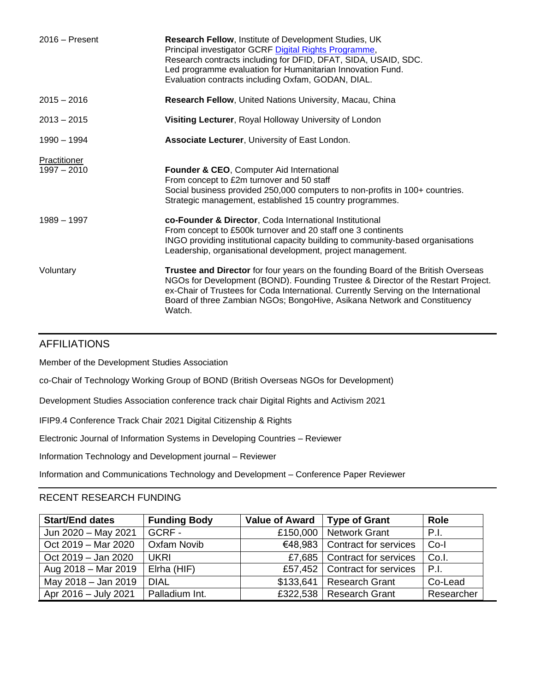| $2016 -$ Present              | Research Fellow, Institute of Development Studies, UK<br>Principal investigator GCRF Digital Rights Programme,<br>Research contracts including for DFID, DFAT, SIDA, USAID, SDC.<br>Led programme evaluation for Humanitarian Innovation Fund.<br>Evaluation contracts including Oxfam, GODAN, DIAL.                                               |
|-------------------------------|----------------------------------------------------------------------------------------------------------------------------------------------------------------------------------------------------------------------------------------------------------------------------------------------------------------------------------------------------|
| $2015 - 2016$                 | Research Fellow, United Nations University, Macau, China                                                                                                                                                                                                                                                                                           |
| $2013 - 2015$                 | Visiting Lecturer, Royal Holloway University of London                                                                                                                                                                                                                                                                                             |
| 1990 - 1994                   | Associate Lecturer, University of East London.                                                                                                                                                                                                                                                                                                     |
| Practitioner<br>$1997 - 2010$ | Founder & CEO, Computer Aid International<br>From concept to £2m turnover and 50 staff<br>Social business provided 250,000 computers to non-profits in 100+ countries.<br>Strategic management, established 15 country programmes.                                                                                                                 |
| $1989 - 1997$                 | co-Founder & Director, Coda International Institutional<br>From concept to £500k turnover and 20 staff one 3 continents<br>INGO providing institutional capacity building to community-based organisations<br>Leadership, organisational development, project management.                                                                          |
| Voluntary                     | Trustee and Director for four years on the founding Board of the British Overseas<br>NGOs for Development (BOND). Founding Trustee & Director of the Restart Project.<br>ex-Chair of Trustees for Coda International. Currently Serving on the International<br>Board of three Zambian NGOs; BongoHive, Asikana Network and Constituency<br>Watch. |

#### AFFILIATIONS

Member of the Development Studies Association

co-Chair of Technology Working Group of BOND (British Overseas NGOs for Development)

Development Studies Association conference track chair Digital Rights and Activism 2021

IFIP9.4 Conference Track Chair 2021 Digital Citizenship & Rights

Electronic Journal of Information Systems in Developing Countries – Reviewer

Information Technology and Development journal – Reviewer

Information and Communications Technology and Development – Conference Paper Reviewer

#### RECENT RESEARCH FUNDING

| <b>Start/End dates</b> | <b>Funding Body</b> | <b>Value of Award</b> | <b>Type of Grant</b>            | <b>Role</b> |
|------------------------|---------------------|-----------------------|---------------------------------|-------------|
| Jun 2020 - May 2021    | GCRF-               | £150,000              | <b>Network Grant</b>            | P.I.        |
| Oct 2019 - Mar 2020    | <b>Oxfam Novib</b>  |                       | €48,983 Contract for services   | $Co-I$      |
| Oct 2019 - Jan 2020    | <b>UKRI</b>         |                       | £7,685   Contract for services  | Co.I.       |
| Aug 2018 - Mar 2019    | Elrha (HIF)         |                       | £57,452   Contract for services | P.I.        |
| May 2018 - Jan 2019    | <b>DIAL</b>         |                       | \$133,641   Research Grant      | Co-Lead     |
| Apr 2016 - July 2021   | Palladium Int.      |                       | £322,538   Research Grant       | Researcher  |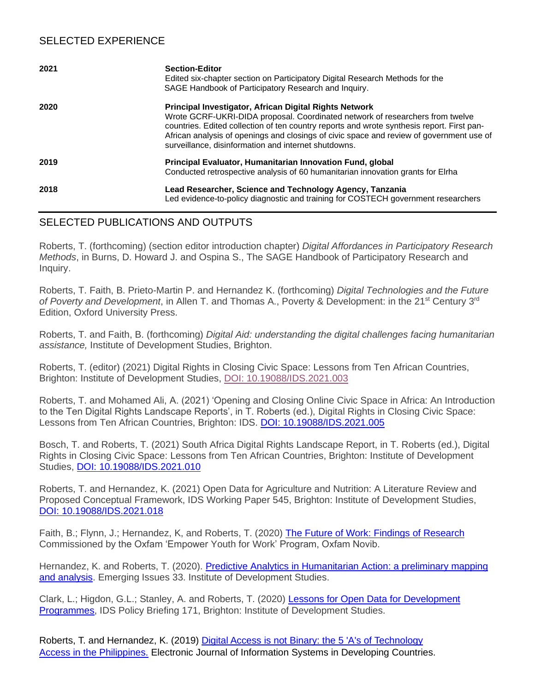## SELECTED EXPERIENCE

| 2021 | <b>Section-Editor</b><br>Edited six-chapter section on Participatory Digital Research Methods for the<br>SAGE Handbook of Participatory Research and Inquiry.                                                                                                                                                                                                                             |  |
|------|-------------------------------------------------------------------------------------------------------------------------------------------------------------------------------------------------------------------------------------------------------------------------------------------------------------------------------------------------------------------------------------------|--|
| 2020 | Principal Investigator, African Digital Rights Network<br>Wrote GCRF-UKRI-DIDA proposal. Coordinated network of researchers from twelve<br>countries. Edited collection of ten country reports and wrote synthesis report. First pan-<br>African analysis of openings and closings of civic space and review of government use of<br>surveillance, disinformation and internet shutdowns. |  |
| 2019 | Principal Evaluator, Humanitarian Innovation Fund, global<br>Conducted retrospective analysis of 60 humanitarian innovation grants for Elrha                                                                                                                                                                                                                                              |  |
| 2018 | Lead Researcher, Science and Technology Agency, Tanzania<br>Led evidence-to-policy diagnostic and training for COSTECH government researchers                                                                                                                                                                                                                                             |  |

## SELECTED PUBLICATIONS AND OUTPUTS

Roberts, T. (forthcoming) (section editor introduction chapter) *Digital Affordances in Participatory Research Methods*, in Burns, D. Howard J. and Ospina S., The SAGE Handbook of Participatory Research and Inquiry.

Roberts, T. Faith, B. Prieto-Martin P. and Hernandez K. (forthcoming) *Digital Technologies and the Future*  of Poverty and Development, in Allen T. and Thomas A., Poverty & Development: in the 21<sup>st</sup> Century 3<sup>rd</sup> Edition, Oxford University Press.

Roberts, T. and Faith, B. (forthcoming) *Digital Aid: understanding the digital challenges facing humanitarian assistance,* Institute of Development Studies, Brighton.

Roberts, T. (editor) (2021) Digital Rights in Closing Civic Space: Lessons from Ten African Countries, Brighton: Institute of Development Studies, [DOI: 10.19088/IDS.2021.003](https://opendocs.ids.ac.uk/opendocs/handle/20.500.12413/15964)

Roberts, T. and Mohamed Ali, A. (2021) 'Opening and Closing Online Civic Space in Africa: An Introduction to the Ten Digital Rights Landscape Reports', in T. Roberts (ed.), Digital Rights in Closing Civic Space: [Lessons from Ten African Countries, Brighton: IDS.](https://opendocs.ids.ac.uk/opendocs/bitstream/handle/20.500.12413/15964/Introduction.pdf?sequence=5&isAllowed=y) [DOI: 10.19088/IDS.2021.005](https://opendocs.ids.ac.uk/opendocs/bitstream/handle/20.500.12413/15964/Introduction.pdf?sequence=5&isAllowed=y) 

Bosch, T. and Roberts, T. (2021) South Africa Digital Rights Landscape Report, in T. Roberts (ed.), Digital Rights in Closing Civic Space: Lessons from Ten African Countries, Brighton: Institute of Development Studies, [DOI: 10.19088/IDS.2021.010](https://opendocs.ids.ac.uk/opendocs/bitstream/handle/20.500.12413/15964/South_Africa_Report.pdf?sequence=10&isAllowed=y)

Roberts, T. and Hernandez, K. (2021) Open Data for Agriculture and Nutrition: A Literature Review and Proposed Conceptual Framework, IDS Working Paper 545, Brighton: Institute of Development Studies, [DOI: 10.19088/IDS.2021.018](https://opendocs.ids.ac.uk/opendocs/handle/20.500.12413/15928)

Faith, B.; Flynn, J.; Hernandez, K, and Roberts, T. (2020) [The Future of Work: Findings of Research](https://opendocs.ids.ac.uk/opendocs/handle/20.500.12413/15595) Commissioned by the Oxfam 'Empower Youth for Work' Program, Oxfam Novib.

Hernandez, K. and Roberts, T. (2020). Predictive Analytics in Humanitarian Action: a preliminary mapping [and analysis.](https://opendocs.ids.ac.uk/opendocs/handle/20.500.12413/15455) Emerging Issues 33. Institute of Development Studies.

Clark, L.; Higdon, G.L.; Stanley, A. and Roberts, T. (2020) Lessons for Open Data for Development [Programmes,](https://www.ids.ac.uk/publications/lessons-for-open-data-for-development-programmes/) IDS Policy Briefing 171, Brighton: Institute of Development Studies.

Roberts, T. and Hernandez, K. (2019) Digital Access [is not Binary: the 5 'A's of Technology](https://onlinelibrary.wiley.com/doi/full/10.1002/isd2.12084) [Access in the Philippines.](https://onlinelibrary.wiley.com/doi/full/10.1002/isd2.12084) Electronic Journal of Information Systems in Developing Countries.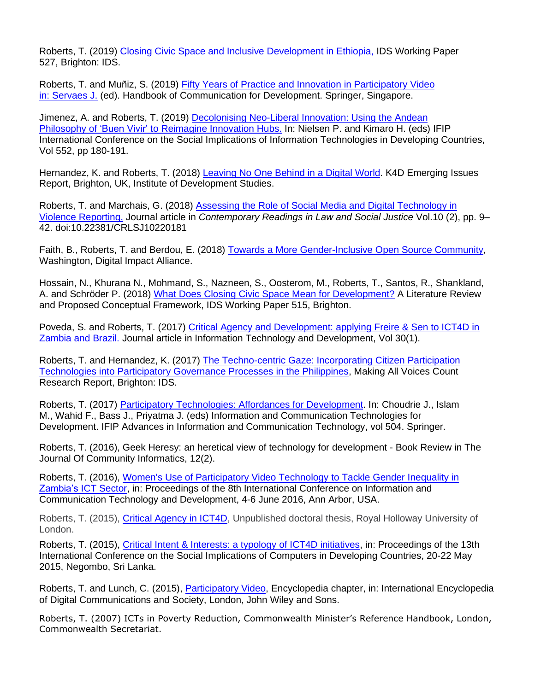Roberts, T. (2019) [Closing Civic Space and Inclusive Development](https://opendocs.ids.ac.uk/opendocs/handle/123456789/14471) in Ethiopia, IDS Working Paper 527, Brighton: IDS.

Roberts, T. and Muñiz, S. (2019) Fifty Years of [Practice and Innovation in Participatory Video](https://link.springer.com/referenceworkentry/10.1007%2F978-981-10-7035-8_39-1) [in: Servaes J.](https://link.springer.com/referenceworkentry/10.1007%2F978-981-10-7035-8_39-1) (ed). Handbook of Communication for Development. Springer, Singapore.

Jimenez, A. and Roberts, T. (2019) [Decolonising Neo-Liberal Innovation: Using the Andean](https://link.springer.com/chapter/10.1007/978-3-030-19115-3_15) Philosophy of ['Buen Vivir' to Reimagine Innovation Hubs.](https://link.springer.com/chapter/10.1007/978-3-030-19115-3_15) In: Nielsen P. and Kimaro H. (eds) IFIP International Conference on the Social Implications of Information Technologies in Developing Countries, Vol 552, pp 180-191.

Hernandez, K. and Roberts, T. (2018) [Leaving No One Behind in a Digital World.](https://opendocs.ids.ac.uk/opendocs/bitstream/handle/123456789/14147/Eme...) K4D Emerging Issues Report, Brighton, UK, Institute of Development Studies.

Roberts, T. and Marchais, G. (2018) [Assessing the Role of Social Media and Digital](https://addletonacademicpublishers.com/search-in-crlsj/3343-assessing-the-role-of-social-media-and-digital-technology-in-violence-reporting) Technology in [Violence Reporting,](https://addletonacademicpublishers.com/search-in-crlsj/3343-assessing-the-role-of-social-media-and-digital-technology-in-violence-reporting) Journal article in *Contemporary Readings in Law and Social Justice* Vol.10 (2), pp. 9– 42. doi:10.22381/CRLSJ10220181

Faith, B., Roberts, T. and Berdou, E. (2018) [Towards a More Gender-Inclusive Open](https://digitalimpactalliance.org/wp-content/uploads/2018/11/GenderOSS_v10_PDF.pdf) Source Community, Washington, Digital Impact Alliance.

Hossain, N., Khurana N., Mohmand, S., Nazneen, S., Oosterom, M., Roberts, T., Santos, R., Shankland, A. and Schröder P. (2018) What Does Closing [Civic Space Mean for Development?](https://opendocs.ids.ac.uk/opendocs/bitstream/handle/123456789/13962/Wp515_Online.pdf) A Literature Review and Proposed Conceptual Framework, IDS Working Paper 515, Brighton.

Poveda, S. and Roberts, T. (2017) Critical Agency and Development: applying Freire & Sen to ICT4D in [Zambia and Brazil.](https://www.tandfonline.com/doi/abs/10.1080/02681102.2017.1328656) Journal article in Information Technology and Development, Vol 30(1).

Roberts, T. and Hernandez, K. (2017) [The Techno-centric Gaze: Incorporating Citizen Participation](https://opendocs.ids.ac.uk/opendocs/handle/20.500.12413/13344) [Technologies into Participatory Governance Processes in the Philippines,](https://opendocs.ids.ac.uk/opendocs/handle/20.500.12413/13344) Making All Voices Count Research Report, Brighton: IDS.

Roberts, T. (2017) [Participatory Technologies: Affordances for Development.](https://link.springer.com/chapter/10.1007/978-3-319-59111-7_17) In: Choudrie J., Islam M., Wahid F., Bass J., Priyatma J. (eds) Information and Communication Technologies for Development. IFIP Advances in Information and Communication Technology, vol 504. Springer.

Roberts, T. (2016), Geek Heresy: an heretical view of technology for development - Book Review in The Journal Of Community Informatics, 12(2).

Roberts, T. (2016), Women's Use of Participatory Video Technology to Tackle Gender Inequality in [Zambia's ICT Sector,](http://appropriatingtechnology.org/sites/default/files/Draft%20Paper%20Not%20for%20Publication%20Zambian%20Women%27s%20Use%20of%20PV%20to%20Tackle%20Gender%20Inequality.pdf) in: Proceedings of the 8th International Conference on Information and Communication Technology and Development, 4-6 June 2016, Ann Arbor, USA.

Roberts, T. (2015), [Critical Agency in ICT4D,](http://appropriatingtechnology.org/sites/default/files/Critical%20Agency%20in%20ICT4D%20Final%20Thesis.pdf) Unpublished doctoral thesis, Royal Holloway University of London.

Roberts, T. (2015), [Critical Intent & Interests: a typology of ICT4D initiatives,](http://appropriatingtechnology.org/sites/default/files/Draft%20Roberts%202015%20Critical%20Intent%20and%20Interests%20A%20Typology%20of%20ICT4D%20initiatives%20ifip2015conf_0.pdf) in: Proceedings of the 13th International Conference on the Social Implications of Computers in Developing Countries, 20-22 May 2015, Negombo, Sri Lanka.

Roberts, T. and Lunch, C. (2015), [Participatory Video,](http://appropriatingtechnology.org/sites/default/files/Draft%20PV%20encyclopaedia%20chapter%20not%20for%20Publication%20or%20Distribution.pdf) Encyclopedia chapter, in: International Encyclopedia of Digital Communications and Society, London, John Wiley and Sons.

Roberts, T. (2007) ICTs in Poverty Reduction, Commonwealth Minister's Reference Handbook, London, Commonwealth Secretariat.